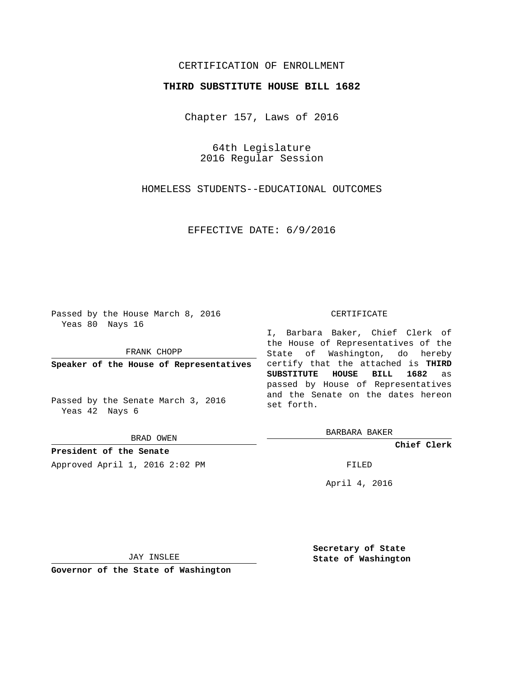## CERTIFICATION OF ENROLLMENT

### **THIRD SUBSTITUTE HOUSE BILL 1682**

Chapter 157, Laws of 2016

64th Legislature 2016 Regular Session

HOMELESS STUDENTS--EDUCATIONAL OUTCOMES

EFFECTIVE DATE: 6/9/2016

Passed by the House March 8, 2016 Yeas 80 Nays 16

FRANK CHOPP

**Speaker of the House of Representatives**

Passed by the Senate March 3, 2016 Yeas 42 Nays 6

BRAD OWEN

**President of the Senate**

Approved April 1, 2016 2:02 PM FILED

#### CERTIFICATE

I, Barbara Baker, Chief Clerk of the House of Representatives of the State of Washington, do hereby certify that the attached is **THIRD SUBSTITUTE HOUSE BILL 1682** as passed by House of Representatives and the Senate on the dates hereon set forth.

BARBARA BAKER

**Chief Clerk**

April 4, 2016

JAY INSLEE

**Governor of the State of Washington**

**Secretary of State State of Washington**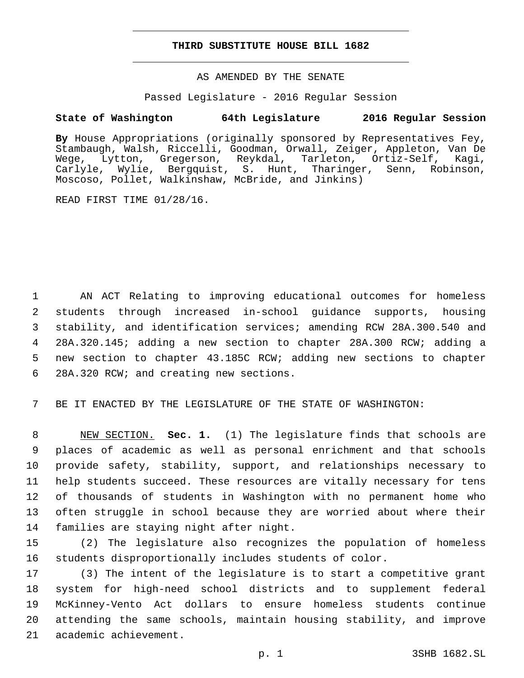### **THIRD SUBSTITUTE HOUSE BILL 1682**

AS AMENDED BY THE SENATE

Passed Legislature - 2016 Regular Session

# **State of Washington 64th Legislature 2016 Regular Session**

**By** House Appropriations (originally sponsored by Representatives Fey, Stambaugh, Walsh, Riccelli, Goodman, Orwall, Zeiger, Appleton, Van De Wege, Lytton, Gregerson, Reykdal, Tarleton, Ortiz-Self, Kagi, Carlyle, Wylie, Bergquist, S. Hunt, Tharinger, Senn, Robinson, Moscoso, Pollet, Walkinshaw, McBride, and Jinkins)

READ FIRST TIME 01/28/16.

 AN ACT Relating to improving educational outcomes for homeless students through increased in-school guidance supports, housing stability, and identification services; amending RCW 28A.300.540 and 28A.320.145; adding a new section to chapter 28A.300 RCW; adding a new section to chapter 43.185C RCW; adding new sections to chapter 6 28A.320 RCW; and creating new sections.

7 BE IT ENACTED BY THE LEGISLATURE OF THE STATE OF WASHINGTON:

 NEW SECTION. **Sec. 1.** (1) The legislature finds that schools are places of academic as well as personal enrichment and that schools provide safety, stability, support, and relationships necessary to help students succeed. These resources are vitally necessary for tens of thousands of students in Washington with no permanent home who often struggle in school because they are worried about where their families are staying night after night.

15 (2) The legislature also recognizes the population of homeless 16 students disproportionally includes students of color.

 (3) The intent of the legislature is to start a competitive grant system for high-need school districts and to supplement federal McKinney-Vento Act dollars to ensure homeless students continue attending the same schools, maintain housing stability, and improve 21 academic achievement.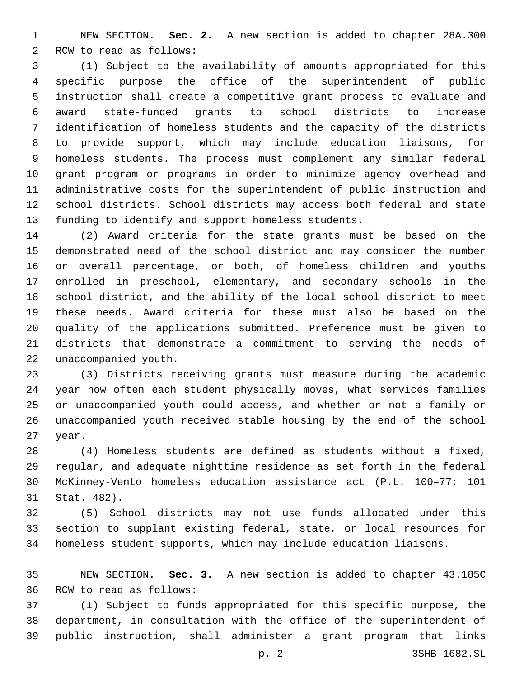NEW SECTION. **Sec. 2.** A new section is added to chapter 28A.300 2 RCW to read as follows:

 (1) Subject to the availability of amounts appropriated for this specific purpose the office of the superintendent of public instruction shall create a competitive grant process to evaluate and award state-funded grants to school districts to increase identification of homeless students and the capacity of the districts to provide support, which may include education liaisons, for homeless students. The process must complement any similar federal grant program or programs in order to minimize agency overhead and administrative costs for the superintendent of public instruction and school districts. School districts may access both federal and state funding to identify and support homeless students.

 (2) Award criteria for the state grants must be based on the demonstrated need of the school district and may consider the number or overall percentage, or both, of homeless children and youths enrolled in preschool, elementary, and secondary schools in the school district, and the ability of the local school district to meet these needs. Award criteria for these must also be based on the quality of the applications submitted. Preference must be given to districts that demonstrate a commitment to serving the needs of 22 unaccompanied youth.

 (3) Districts receiving grants must measure during the academic year how often each student physically moves, what services families or unaccompanied youth could access, and whether or not a family or unaccompanied youth received stable housing by the end of the school 27 year.

 (4) Homeless students are defined as students without a fixed, regular, and adequate nighttime residence as set forth in the federal McKinney-Vento homeless education assistance act (P.L. 100–77; 101 31 Stat. 482).

 (5) School districts may not use funds allocated under this section to supplant existing federal, state, or local resources for homeless student supports, which may include education liaisons.

 NEW SECTION. **Sec. 3.** A new section is added to chapter 43.185C 36 RCW to read as follows:

 (1) Subject to funds appropriated for this specific purpose, the department, in consultation with the office of the superintendent of public instruction, shall administer a grant program that links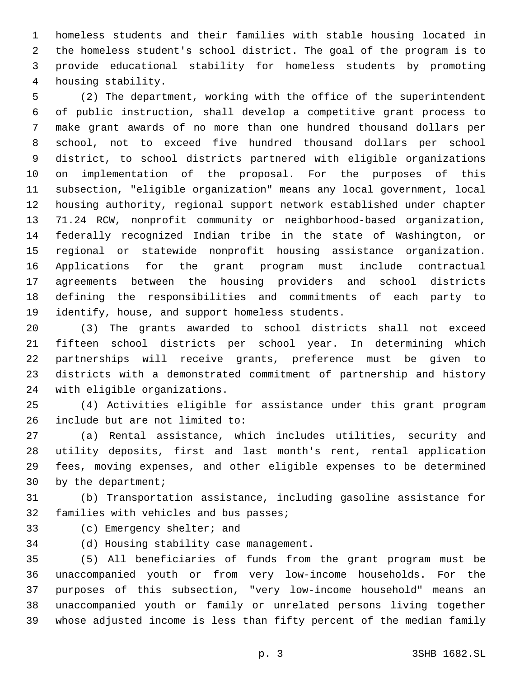homeless students and their families with stable housing located in the homeless student's school district. The goal of the program is to provide educational stability for homeless students by promoting 4 housing stability.

 (2) The department, working with the office of the superintendent of public instruction, shall develop a competitive grant process to make grant awards of no more than one hundred thousand dollars per school, not to exceed five hundred thousand dollars per school district, to school districts partnered with eligible organizations on implementation of the proposal. For the purposes of this subsection, "eligible organization" means any local government, local housing authority, regional support network established under chapter 71.24 RCW, nonprofit community or neighborhood-based organization, federally recognized Indian tribe in the state of Washington, or regional or statewide nonprofit housing assistance organization. Applications for the grant program must include contractual agreements between the housing providers and school districts defining the responsibilities and commitments of each party to 19 identify, house, and support homeless students.

 (3) The grants awarded to school districts shall not exceed fifteen school districts per school year. In determining which partnerships will receive grants, preference must be given to districts with a demonstrated commitment of partnership and history 24 with eligible organizations.

 (4) Activities eligible for assistance under this grant program 26 include but are not limited to:

 (a) Rental assistance, which includes utilities, security and utility deposits, first and last month's rent, rental application fees, moving expenses, and other eligible expenses to be determined 30 by the department;

 (b) Transportation assistance, including gasoline assistance for 32 families with vehicles and bus passes;

33 (c) Emergency shelter; and

34 (d) Housing stability case management.

 (5) All beneficiaries of funds from the grant program must be unaccompanied youth or from very low-income households. For the purposes of this subsection, "very low-income household" means an unaccompanied youth or family or unrelated persons living together whose adjusted income is less than fifty percent of the median family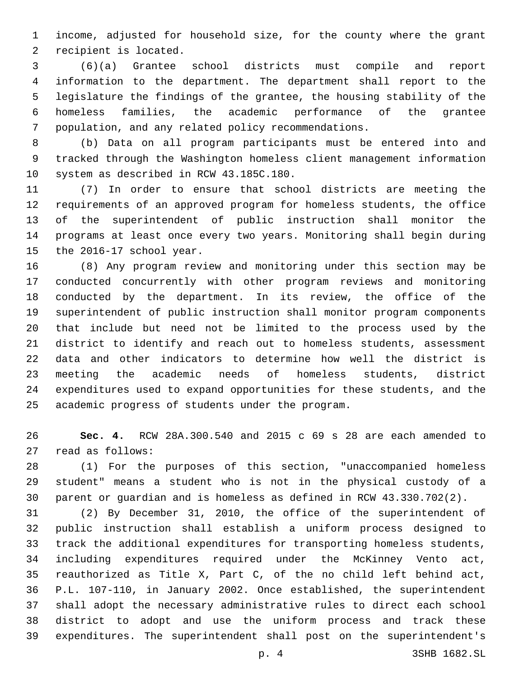income, adjusted for household size, for the county where the grant 2 recipient is located.

 (6)(a) Grantee school districts must compile and report information to the department. The department shall report to the legislature the findings of the grantee, the housing stability of the homeless families, the academic performance of the grantee population, and any related policy recommendations.

 (b) Data on all program participants must be entered into and tracked through the Washington homeless client management information 10 system as described in RCW 43.185C.180.

 (7) In order to ensure that school districts are meeting the requirements of an approved program for homeless students, the office of the superintendent of public instruction shall monitor the programs at least once every two years. Monitoring shall begin during 15 the  $2016-17$  school year.

 (8) Any program review and monitoring under this section may be conducted concurrently with other program reviews and monitoring conducted by the department. In its review, the office of the superintendent of public instruction shall monitor program components that include but need not be limited to the process used by the district to identify and reach out to homeless students, assessment data and other indicators to determine how well the district is meeting the academic needs of homeless students, district expenditures used to expand opportunities for these students, and the 25 academic progress of students under the program.

 **Sec. 4.** RCW 28A.300.540 and 2015 c 69 s 28 are each amended to 27 read as follows:

 (1) For the purposes of this section, "unaccompanied homeless student" means a student who is not in the physical custody of a parent or guardian and is homeless as defined in RCW 43.330.702(2).

 (2) By December 31, 2010, the office of the superintendent of public instruction shall establish a uniform process designed to track the additional expenditures for transporting homeless students, including expenditures required under the McKinney Vento act, reauthorized as Title X, Part C, of the no child left behind act, P.L. 107-110, in January 2002. Once established, the superintendent shall adopt the necessary administrative rules to direct each school district to adopt and use the uniform process and track these expenditures. The superintendent shall post on the superintendent's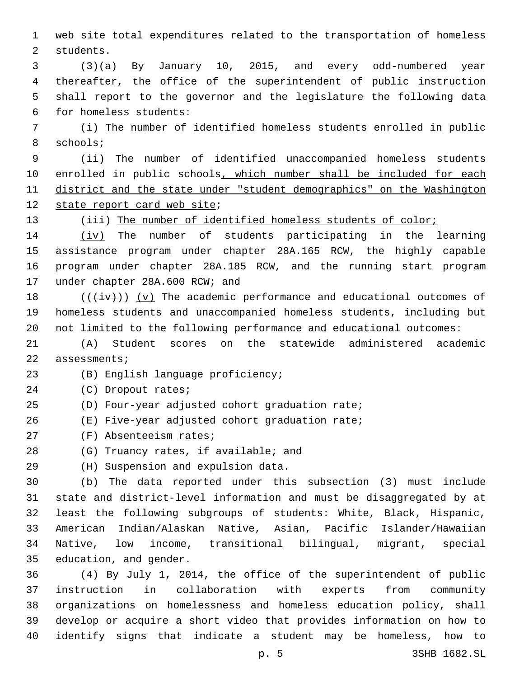web site total expenditures related to the transportation of homeless 2 students.

 (3)(a) By January 10, 2015, and every odd-numbered year thereafter, the office of the superintendent of public instruction shall report to the governor and the legislature the following data for homeless students:6

 (i) The number of identified homeless students enrolled in public 8 schools;

 (ii) The number of identified unaccompanied homeless students 10 enrolled in public schools, which number shall be included for each district and the state under "student demographics" on the Washington 12 state report card web site;

13 (iii) The number of identified homeless students of color;

 (iv) The number of students participating in the learning assistance program under chapter 28A.165 RCW, the highly capable program under chapter 28A.185 RCW, and the running start program 17 under chapter 28A.600 RCW; and

18  $((+iv))$  (v) The academic performance and educational outcomes of homeless students and unaccompanied homeless students, including but not limited to the following performance and educational outcomes:

 (A) Student scores on the statewide administered academic 22 assessments;

23 (B) English language proficiency;

24 (C) Dropout rates;

(D) Four-year adjusted cohort graduation rate;

(E) Five-year adjusted cohort graduation rate;

27 (F) Absenteeism rates;

28 (G) Truancy rates, if available; and

29 (H) Suspension and expulsion data.

 (b) The data reported under this subsection (3) must include state and district-level information and must be disaggregated by at least the following subgroups of students: White, Black, Hispanic, American Indian/Alaskan Native, Asian, Pacific Islander/Hawaiian Native, low income, transitional bilingual, migrant, special 35 education, and gender.

 (4) By July 1, 2014, the office of the superintendent of public instruction in collaboration with experts from community organizations on homelessness and homeless education policy, shall develop or acquire a short video that provides information on how to identify signs that indicate a student may be homeless, how to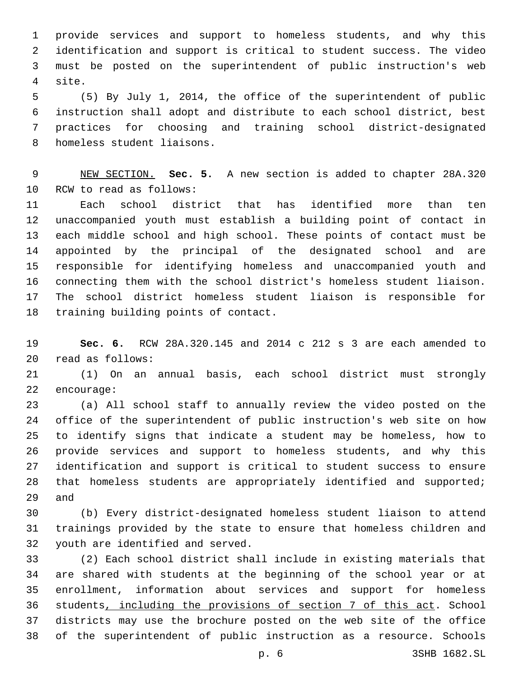provide services and support to homeless students, and why this identification and support is critical to student success. The video must be posted on the superintendent of public instruction's web 4 site.

 (5) By July 1, 2014, the office of the superintendent of public instruction shall adopt and distribute to each school district, best practices for choosing and training school district-designated 8 homeless student liaisons.

 NEW SECTION. **Sec. 5.** A new section is added to chapter 28A.320 10 RCW to read as follows:

 Each school district that has identified more than ten unaccompanied youth must establish a building point of contact in each middle school and high school. These points of contact must be appointed by the principal of the designated school and are responsible for identifying homeless and unaccompanied youth and connecting them with the school district's homeless student liaison. The school district homeless student liaison is responsible for 18 training building points of contact.

 **Sec. 6.** RCW 28A.320.145 and 2014 c 212 s 3 are each amended to read as follows:20

 (1) On an annual basis, each school district must strongly 22 encourage:

 (a) All school staff to annually review the video posted on the office of the superintendent of public instruction's web site on how to identify signs that indicate a student may be homeless, how to provide services and support to homeless students, and why this identification and support is critical to student success to ensure 28 that homeless students are appropriately identified and supported; 29 and

 (b) Every district-designated homeless student liaison to attend trainings provided by the state to ensure that homeless children and 32 youth are identified and served.

 (2) Each school district shall include in existing materials that are shared with students at the beginning of the school year or at enrollment, information about services and support for homeless students, including the provisions of section 7 of this act. School districts may use the brochure posted on the web site of the office of the superintendent of public instruction as a resource. Schools

p. 6 3SHB 1682.SL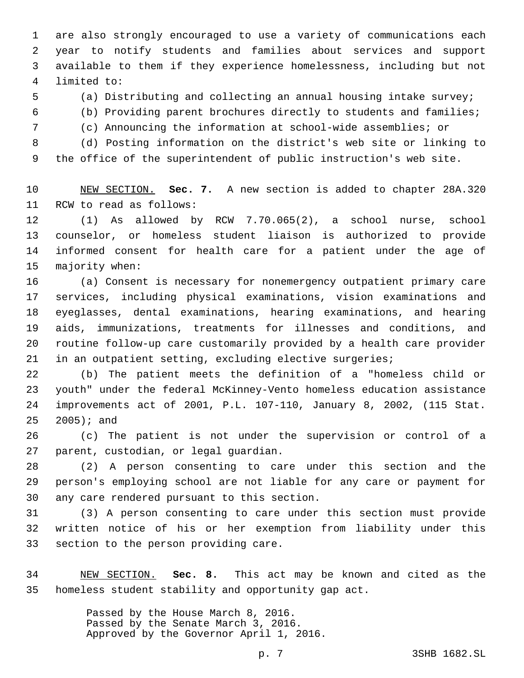are also strongly encouraged to use a variety of communications each year to notify students and families about services and support available to them if they experience homelessness, including but not limited to:4

(a) Distributing and collecting an annual housing intake survey;

(b) Providing parent brochures directly to students and families;

(c) Announcing the information at school-wide assemblies; or

 (d) Posting information on the district's web site or linking to the office of the superintendent of public instruction's web site.

 NEW SECTION. **Sec. 7.** A new section is added to chapter 28A.320 11 RCW to read as follows:

 (1) As allowed by RCW 7.70.065(2), a school nurse, school counselor, or homeless student liaison is authorized to provide informed consent for health care for a patient under the age of 15 majority when:

 (a) Consent is necessary for nonemergency outpatient primary care services, including physical examinations, vision examinations and eyeglasses, dental examinations, hearing examinations, and hearing aids, immunizations, treatments for illnesses and conditions, and routine follow-up care customarily provided by a health care provider in an outpatient setting, excluding elective surgeries;

 (b) The patient meets the definition of a "homeless child or youth" under the federal McKinney-Vento homeless education assistance improvements act of 2001, P.L. 107-110, January 8, 2002, (115 Stat.  $2005$ ); and

 (c) The patient is not under the supervision or control of a 27 parent, custodian, or legal guardian.

 (2) A person consenting to care under this section and the person's employing school are not liable for any care or payment for 30 any care rendered pursuant to this section.

 (3) A person consenting to care under this section must provide written notice of his or her exemption from liability under this 33 section to the person providing care.

 NEW SECTION. **Sec. 8.** This act may be known and cited as the homeless student stability and opportunity gap act.

> Passed by the House March 8, 2016. Passed by the Senate March 3, 2016. Approved by the Governor April 1, 2016.